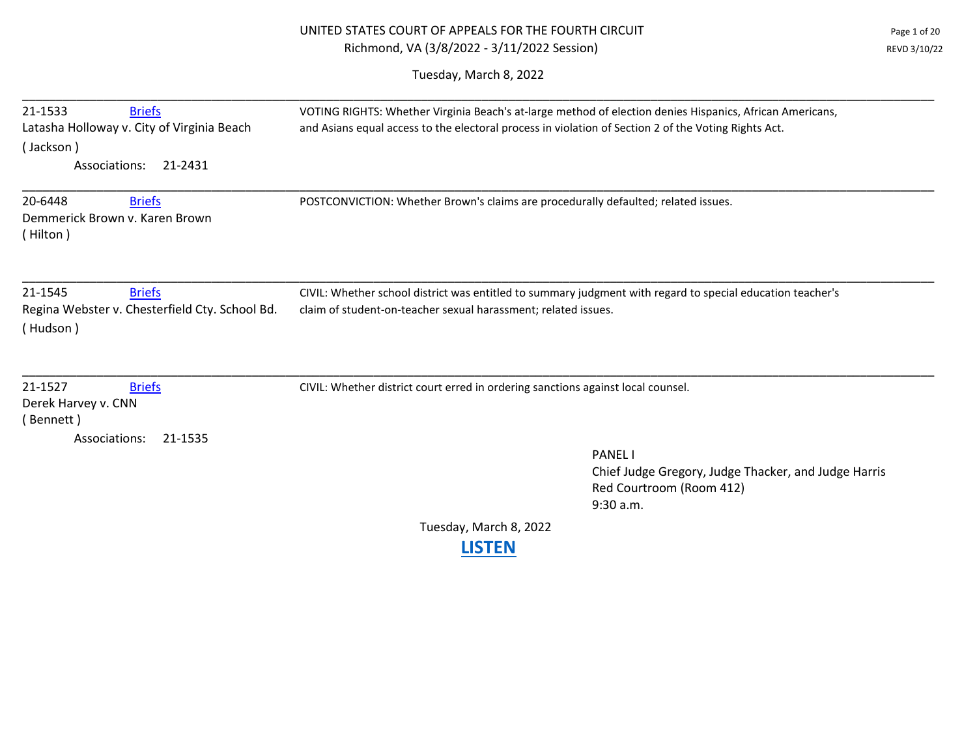| Page 1 of 20 | UNITED STATES COURT OF APPEALS FOR THE FOURTH CIRCUIT |
|--------------|-------------------------------------------------------|
| REVD 3/10/22 | Richmond, VA (3/8/2022 - 3/11/2022 Session)           |

Tuesday, March 8, 2022

| 21-1533<br><b>Briefs</b>                                                               | VOTING RIGHTS: Whether Virginia Beach's at-large method of election denies Hispanics, African Americans,                                                                     |
|----------------------------------------------------------------------------------------|------------------------------------------------------------------------------------------------------------------------------------------------------------------------------|
| Latasha Holloway v. City of Virginia Beach                                             | and Asians equal access to the electoral process in violation of Section 2 of the Voting Rights Act.                                                                         |
| (Jackson)                                                                              |                                                                                                                                                                              |
| Associations:<br>21-2431                                                               |                                                                                                                                                                              |
| 20-6448<br><b>Briefs</b><br>Demmerick Brown v. Karen Brown<br>(Hilton)                 | POSTCONVICTION: Whether Brown's claims are procedurally defaulted; related issues.                                                                                           |
| 21-1545<br><b>Briefs</b><br>Regina Webster v. Chesterfield Cty. School Bd.<br>(Hudson) | CIVIL: Whether school district was entitled to summary judgment with regard to special education teacher's<br>claim of student-on-teacher sexual harassment; related issues. |
| 21-1527<br><b>Briefs</b><br>Derek Harvey v. CNN<br>(Bennett)                           | CIVIL: Whether district court erred in ordering sanctions against local counsel.                                                                                             |
| Associations:<br>21-1535                                                               |                                                                                                                                                                              |
|                                                                                        | <b>PANEL</b>                                                                                                                                                                 |
|                                                                                        | Chief Judge Gregory, Judge Thacker, and Judge Harris                                                                                                                         |
|                                                                                        | Red Courtroom (Room 412)<br>9:30 a.m.                                                                                                                                        |
|                                                                                        |                                                                                                                                                                              |
|                                                                                        | Tuesday, March 8, 2022                                                                                                                                                       |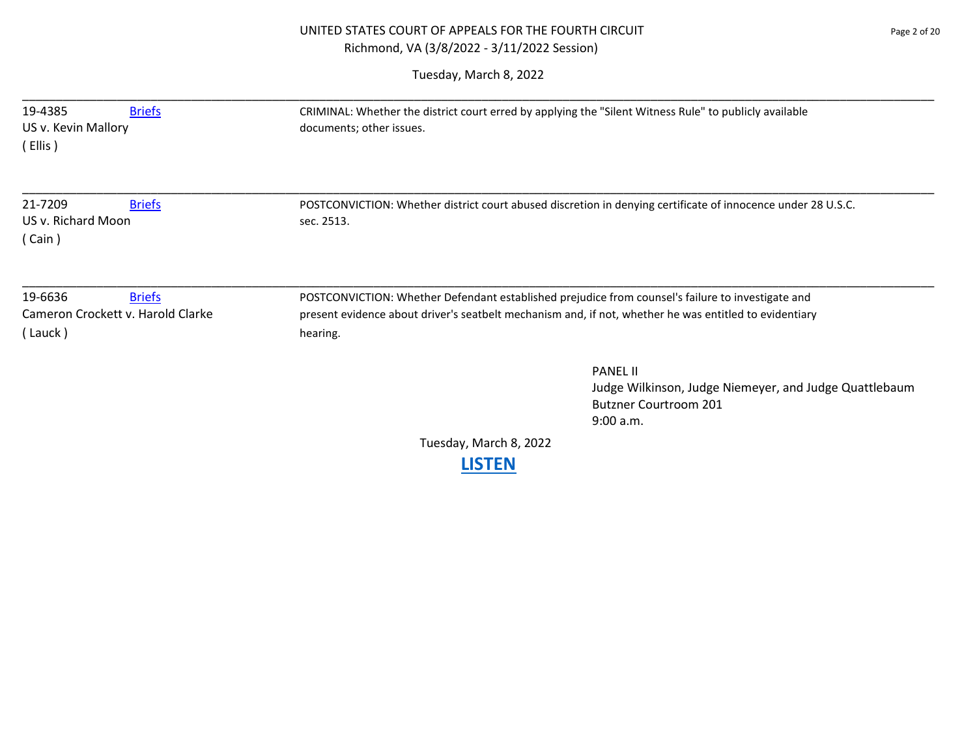# UNITED STATES COURT OF APPEALS FOR THE FOURTH CIRCUIT **FOUR SERVICE 2** Page 2 of 20 Richmond, VA (3/8/2022 - 3/11/2022 Session)

| 19-4385<br><b>Briefs</b><br>US v. Kevin Mallory<br>(Ellis)               | CRIMINAL: Whether the district court erred by applying the "Silent Witness Rule" to publicly available<br>documents; other issues.                                                                                      |
|--------------------------------------------------------------------------|-------------------------------------------------------------------------------------------------------------------------------------------------------------------------------------------------------------------------|
| 21-7209<br><b>Briefs</b><br>US v. Richard Moon<br>(Cain)                 | POSTCONVICTION: Whether district court abused discretion in denying certificate of innocence under 28 U.S.C.<br>sec. 2513.                                                                                              |
| 19-6636<br><b>Briefs</b><br>Cameron Crockett v. Harold Clarke<br>(Lauck) | POSTCONVICTION: Whether Defendant established prejudice from counsel's failure to investigate and<br>present evidence about driver's seatbelt mechanism and, if not, whether he was entitled to evidentiary<br>hearing. |
|                                                                          | <b>PANEL II</b><br>Judge Wilkinson, Judge Niemeyer, and Judge Quattlebaum<br><b>Butzner Courtroom 201</b><br>9:00 a.m.                                                                                                  |
|                                                                          | Tuesday, March 8, 2022                                                                                                                                                                                                  |
|                                                                          | <b>LISTEN</b>                                                                                                                                                                                                           |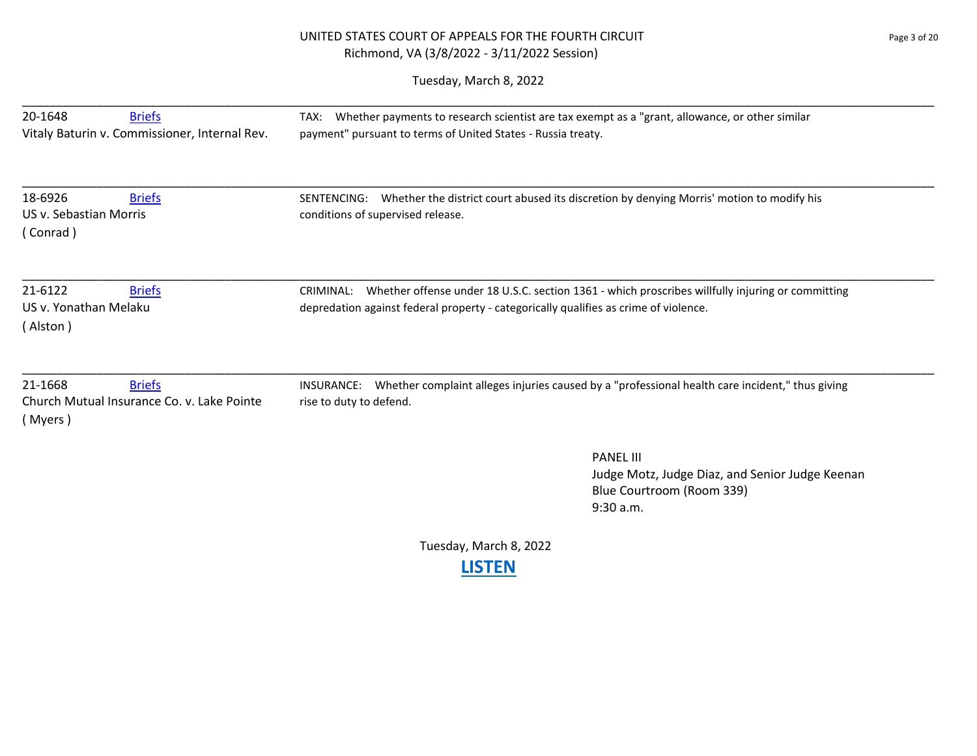# UNITED STATES COURT OF APPEALS FOR THE FOURTH CIRCUIT Page 3 of 20 Richmond, VA (3/8/2022 - 3/11/2022 Session)

| 20-1648<br><b>Briefs</b>                                                          | Whether payments to research scientist are tax exempt as a "grant, allowance, or other similar<br>TAX:                                   |
|-----------------------------------------------------------------------------------|------------------------------------------------------------------------------------------------------------------------------------------|
| Vitaly Baturin v. Commissioner, Internal Rev.                                     | payment" pursuant to terms of United States - Russia treaty.                                                                             |
| 18-6926<br><b>Briefs</b>                                                          | SENTENCING: Whether the district court abused its discretion by denying Morris' motion to modify his                                     |
| US v. Sebastian Morris<br>(Conrad)                                                | conditions of supervised release.                                                                                                        |
| 21-6122<br><b>Briefs</b>                                                          | CRIMINAL: Whether offense under 18 U.S.C. section 1361 - which proscribes willfully injuring or committing                               |
| US v. Yonathan Melaku<br>(Alston)                                                 | depredation against federal property - categorically qualifies as crime of violence.                                                     |
| 21-1668<br><b>Briefs</b><br>Church Mutual Insurance Co. v. Lake Pointe<br>(Myers) | Whether complaint alleges injuries caused by a "professional health care incident," thus giving<br>INSURANCE:<br>rise to duty to defend. |
|                                                                                   | <b>PANEL III</b><br>Judge Motz, Judge Diaz, and Senior Judge Keenan<br>Blue Courtroom (Room 339)                                         |
|                                                                                   | 9:30 a.m.                                                                                                                                |
|                                                                                   | Tuesday, March 8, 2022<br><b>LISTEN</b>                                                                                                  |
|                                                                                   |                                                                                                                                          |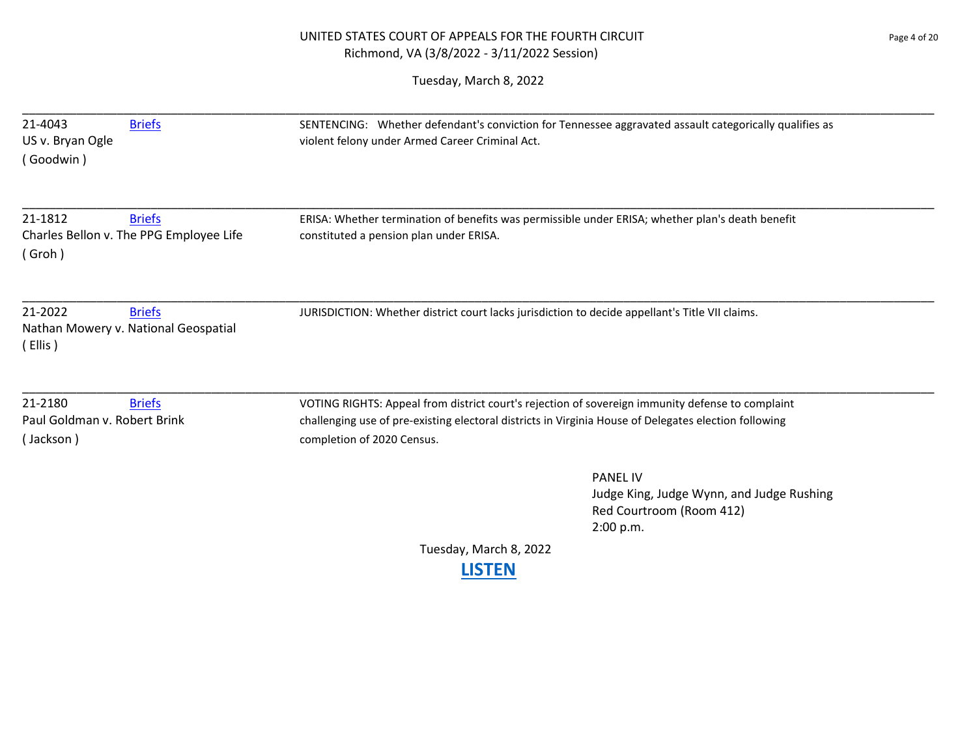# UNITED STATES COURT OF APPEALS FOR THE FOURTH CIRCUIT PAGE 20 Page 4 of 20 Richmond, VA (3/8/2022 - 3/11/2022 Session)

| 21-4043<br>US v. Bryan Ogle<br>(Goodwin)             | <b>Briefs</b>                                            | SENTENCING: Whether defendant's conviction for Tennessee aggravated assault categorically qualifies as<br>violent felony under Armed Career Criminal Act.                                                                               |
|------------------------------------------------------|----------------------------------------------------------|-----------------------------------------------------------------------------------------------------------------------------------------------------------------------------------------------------------------------------------------|
| 21-1812<br>(Groh)                                    | <b>Briefs</b><br>Charles Bellon v. The PPG Employee Life | ERISA: Whether termination of benefits was permissible under ERISA; whether plan's death benefit<br>constituted a pension plan under ERISA.                                                                                             |
| 21-2022<br>(Ellis)                                   | <b>Briefs</b><br>Nathan Mowery v. National Geospatial    | JURISDICTION: Whether district court lacks jurisdiction to decide appellant's Title VII claims.                                                                                                                                         |
| 21-2180<br>Paul Goldman v. Robert Brink<br>(Jackson) | <b>Briefs</b>                                            | VOTING RIGHTS: Appeal from district court's rejection of sovereign immunity defense to complaint<br>challenging use of pre-existing electoral districts in Virginia House of Delegates election following<br>completion of 2020 Census. |
|                                                      |                                                          | <b>PANEL IV</b><br>Judge King, Judge Wynn, and Judge Rushing<br>Red Courtroom (Room 412)<br>2:00 p.m.                                                                                                                                   |
|                                                      |                                                          | Tuesday, March 8, 2022<br><b>LISTEN</b>                                                                                                                                                                                                 |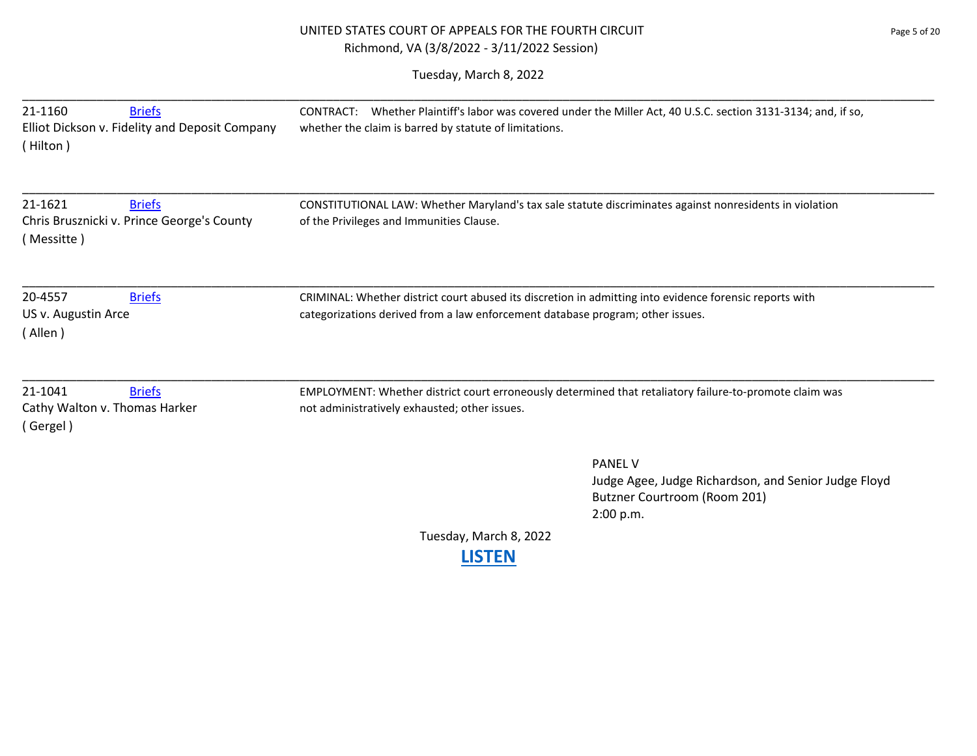# UNITED STATES COURT OF APPEALS FOR THE FOURTH CIRCUIT **FOUR SERVICE SERVICE ASSESS** Page 5 of 20 Richmond, VA (3/8/2022 - 3/11/2022 Session)

| 21-1160<br><b>Briefs</b><br>Elliot Dickson v. Fidelity and Deposit Company<br>(Hilton) | CONTRACT: Whether Plaintiff's labor was covered under the Miller Act, 40 U.S.C. section 3131-3134; and, if so,<br>whether the claim is barred by statute of limitations.                  |                                                                                                                     |
|----------------------------------------------------------------------------------------|-------------------------------------------------------------------------------------------------------------------------------------------------------------------------------------------|---------------------------------------------------------------------------------------------------------------------|
| 21-1621<br><b>Briefs</b><br>Chris Brusznicki v. Prince George's County<br>(Messitte)   | CONSTITUTIONAL LAW: Whether Maryland's tax sale statute discriminates against nonresidents in violation<br>of the Privileges and Immunities Clause.                                       |                                                                                                                     |
| 20-4557<br><b>Briefs</b><br>US v. Augustin Arce<br>(Allen)                             | CRIMINAL: Whether district court abused its discretion in admitting into evidence forensic reports with<br>categorizations derived from a law enforcement database program; other issues. |                                                                                                                     |
| 21-1041<br><b>Briefs</b><br>Cathy Walton v. Thomas Harker<br>(Gergel)                  | EMPLOYMENT: Whether district court erroneously determined that retaliatory failure-to-promote claim was<br>not administratively exhausted; other issues.                                  |                                                                                                                     |
|                                                                                        |                                                                                                                                                                                           | <b>PANEL V</b><br>Judge Agee, Judge Richardson, and Senior Judge Floyd<br>Butzner Courtroom (Room 201)<br>2:00 p.m. |
|                                                                                        | Tuesday, March 8, 2022<br><b>LISTEN</b>                                                                                                                                                   |                                                                                                                     |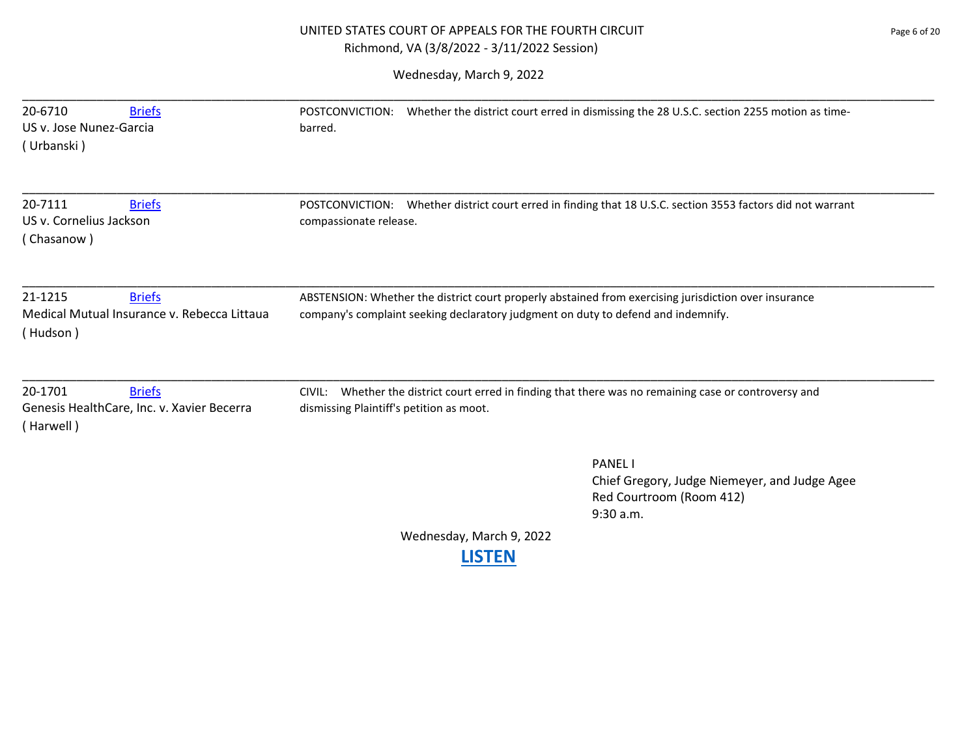# UNITED STATES COURT OF APPEALS FOR THE FOURTH CIRCUIT **FOUR SERVICE SERVICE ASSESSMENT ASSAULT** Page 6 of 20 Richmond, VA (3/8/2022 - 3/11/2022 Session)

| 20-6710<br><b>Briefs</b><br>US v. Jose Nunez-Garcia<br>(Urbanski)                   | POSTCONVICTION: Whether the district court erred in dismissing the 28 U.S.C. section 2255 motion as time-<br>barred.                                                                       |
|-------------------------------------------------------------------------------------|--------------------------------------------------------------------------------------------------------------------------------------------------------------------------------------------|
| 20-7111<br><b>Briefs</b><br>US v. Cornelius Jackson<br>(Chasanow)                   | Whether district court erred in finding that 18 U.S.C. section 3553 factors did not warrant<br>POSTCONVICTION:<br>compassionate release.                                                   |
| 21-1215<br><b>Briefs</b><br>Medical Mutual Insurance v. Rebecca Littaua<br>(Hudson) | ABSTENSION: Whether the district court properly abstained from exercising jurisdiction over insurance<br>company's complaint seeking declaratory judgment on duty to defend and indemnify. |
|                                                                                     | CIVIL: Whether the district court erred in finding that there was no remaining case or controversy and                                                                                     |
| 20-1701<br><b>Briefs</b><br>Genesis HealthCare, Inc. v. Xavier Becerra<br>(Harwell) | dismissing Plaintiff's petition as moot.                                                                                                                                                   |
|                                                                                     | <b>PANEL I</b><br>Chief Gregory, Judge Niemeyer, and Judge Agee<br>Red Courtroom (Room 412)<br>9:30 a.m.                                                                                   |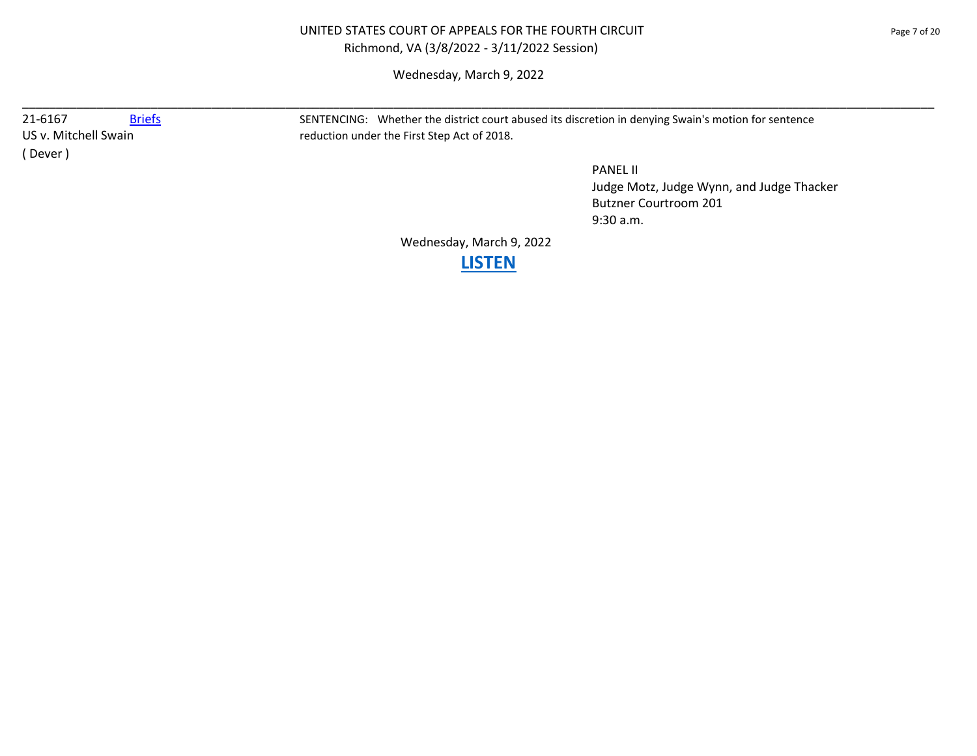## UNITED STATES COURT OF APPEALS FOR THE FOURTH CIRCUIT PAGE 20 Page 7 of 20 Richmond, VA (3/8/2022 - 3/11/2022 Session)

Wednesday, March 9, 2022

\_\_\_\_\_\_\_\_\_\_\_\_\_\_\_\_\_\_\_\_\_\_\_\_\_\_\_\_\_\_\_\_\_\_\_\_\_\_\_\_\_\_\_\_\_\_\_\_\_\_\_\_\_\_\_\_\_\_\_\_\_\_\_\_\_\_\_\_\_\_\_\_\_\_\_\_\_\_\_\_\_\_\_\_\_\_\_\_\_\_\_\_\_\_\_\_\_\_\_\_\_\_\_\_\_\_\_\_\_\_\_\_\_\_\_\_\_\_\_\_\_\_\_\_\_\_\_\_\_\_\_\_\_\_\_

( Dever )

21-6167 [Briefs](https://www.ca4.uscourts.gov/DataBriefs.aspx?CASENUM=21-6167) SENTENCING: Whether the district court abused its discretion in denying Swain's motion for sentence US v. Mitchell Swain **reduction under the First Step Act of 2018**.

> PANEL II Judge Motz, Judge Wynn, and Judge Thacker Butzner Courtroom 201 9:30 a.m.

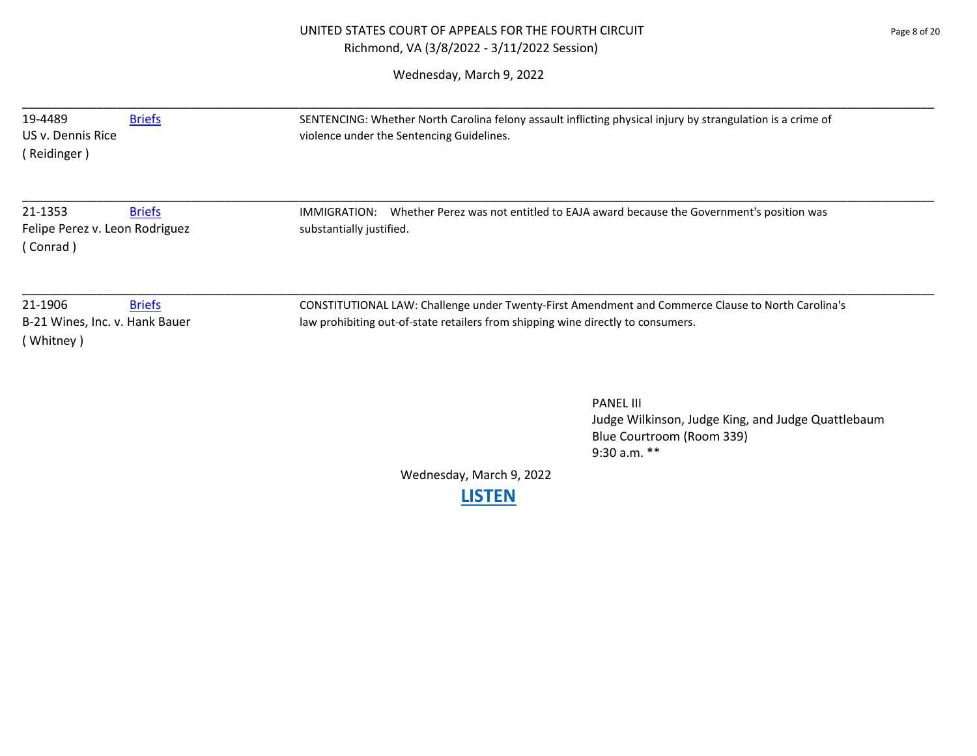| 19-4489<br><b>Briefs</b><br>US v. Dennis Rice<br>(Reidinger)            | SENTENCING: Whether North Carolina felony assault inflicting physical injury by strangulation is a crime of<br>violence under the Sentencing Guidelines.                               |  |
|-------------------------------------------------------------------------|----------------------------------------------------------------------------------------------------------------------------------------------------------------------------------------|--|
| 21-1353<br><b>Briefs</b><br>Felipe Perez v. Leon Rodriguez<br>(Conrad)  | IMMIGRATION: Whether Perez was not entitled to EAJA award because the Government's position was<br>substantially justified.                                                            |  |
| 21-1906<br><b>Briefs</b><br>B-21 Wines, Inc. v. Hank Bauer<br>(Whitney) | CONSTITUTIONAL LAW: Challenge under Twenty-First Amendment and Commerce Clause to North Carolina's<br>law prohibiting out-of-state retailers from shipping wine directly to consumers. |  |
|                                                                         | <b>PANEL III</b><br>Judge Wilkinson, Judge King, and Judge Quattlebaum<br>Blue Courtroom (Room 339)<br>9:30 a.m. **                                                                    |  |
|                                                                         | Wednesday, March 9, 2022<br><b>LISTEN</b>                                                                                                                                              |  |
|                                                                         |                                                                                                                                                                                        |  |
|                                                                         |                                                                                                                                                                                        |  |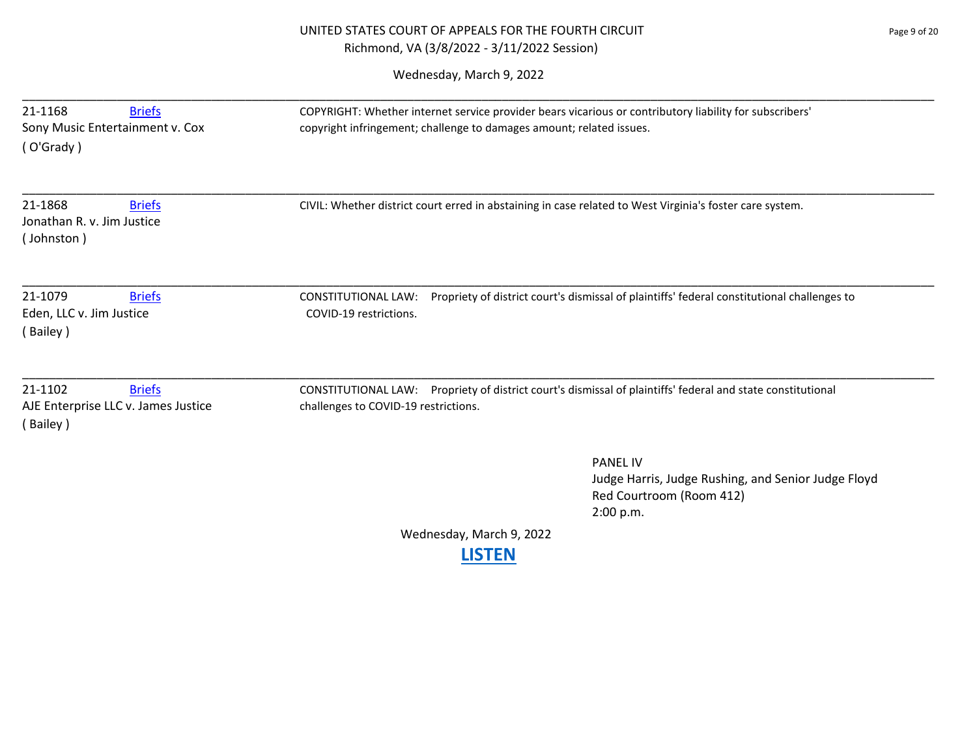# UNITED STATES COURT OF APPEALS FOR THE FOURTH CIRCUIT PAGE 20 Page 9 of 20 Richmond, VA (3/8/2022 - 3/11/2022 Session)

| 21-1868<br><b>Briefs</b><br>Jonathan R. v. Jim Justice<br>(Johnston)        | CIVIL: Whether district court erred in abstaining in case related to West Virginia's foster care system.                                            |
|-----------------------------------------------------------------------------|-----------------------------------------------------------------------------------------------------------------------------------------------------|
| 21-1079<br><b>Briefs</b><br>Eden, LLC v. Jim Justice<br>(Bailey)            | Propriety of district court's dismissal of plaintiffs' federal constitutional challenges to<br><b>CONSTITUTIONAL LAW:</b><br>COVID-19 restrictions. |
| 21-1102<br><b>Briefs</b><br>AJE Enterprise LLC v. James Justice<br>(Bailey) | CONSTITUTIONAL LAW: Propriety of district court's dismissal of plaintiffs' federal and state constitutional<br>challenges to COVID-19 restrictions. |
|                                                                             | <b>PANEL IV</b><br>Judge Harris, Judge Rushing, and Senior Judge Floyd<br>Red Courtroom (Room 412)<br>2:00 p.m.                                     |
|                                                                             | Wednesday, March 9, 2022<br><b>LISTEN</b>                                                                                                           |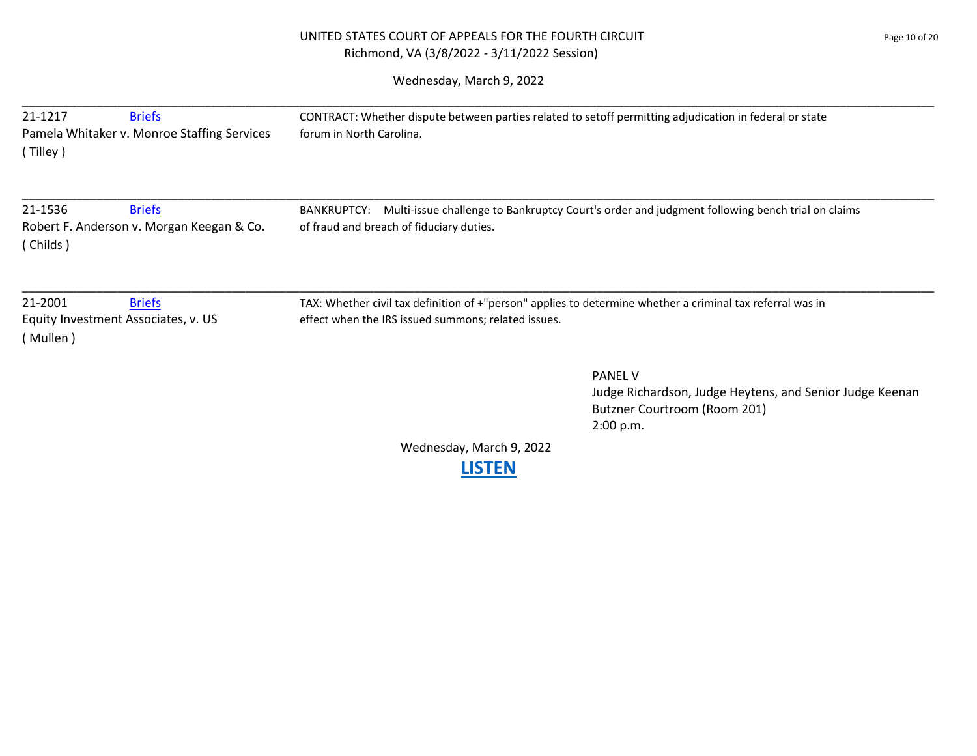# UNITED STATES COURT OF APPEALS FOR THE FOURTH CIRCUIT **FOUR SERVICE 20** Page 10 of 20 Richmond, VA (3/8/2022 - 3/11/2022 Session)

| 21-1217<br><b>Briefs</b><br>Pamela Whitaker v. Monroe Staffing Services<br>(Tilley) | CONTRACT: Whether dispute between parties related to setoff permitting adjudication in federal or state<br>forum in North Carolina.                               |
|-------------------------------------------------------------------------------------|-------------------------------------------------------------------------------------------------------------------------------------------------------------------|
| 21-1536<br><b>Briefs</b><br>Robert F. Anderson v. Morgan Keegan & Co.<br>(Childs)   | Multi-issue challenge to Bankruptcy Court's order and judgment following bench trial on claims<br><b>BANKRUPTCY:</b><br>of fraud and breach of fiduciary duties.  |
| 21-2001<br><b>Briefs</b><br>Equity Investment Associates, v. US<br>(Mullen)         | TAX: Whether civil tax definition of +"person" applies to determine whether a criminal tax referral was in<br>effect when the IRS issued summons; related issues. |
|                                                                                     | <b>PANEL V</b><br>Judge Richardson, Judge Heytens, and Senior Judge Keenan<br>Butzner Courtroom (Room 201)<br>2:00 p.m.                                           |
|                                                                                     | Wednesday, March 9, 2022<br><b>LISTEN</b>                                                                                                                         |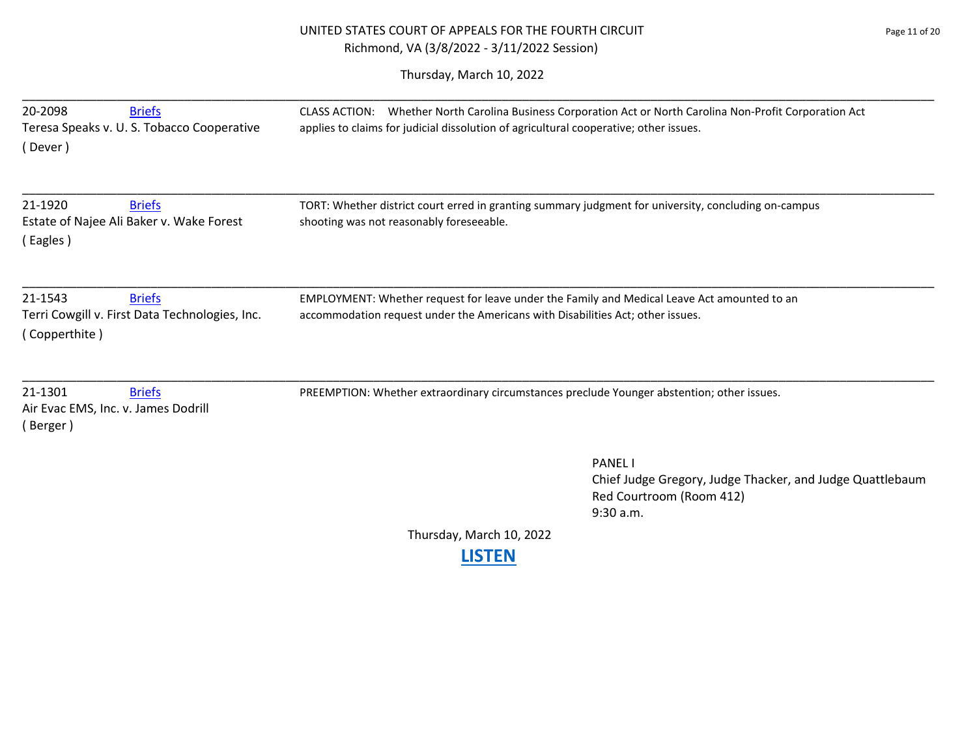# UNITED STATES COURT OF APPEALS FOR THE FOURTH CIRCUIT **FOUR SERVICE SERVICE ASSESSMENT Page 11 of 20** Richmond, VA (3/8/2022 - 3/11/2022 Session)

Thursday, March 10, 2022

| 20-2098<br><b>Briefs</b><br>Teresa Speaks v. U. S. Tobacco Cooperative<br>Dever )           | CLASS ACTION: Whether North Carolina Business Corporation Act or North Carolina Non-Profit Corporation Act<br>applies to claims for judicial dissolution of agricultural cooperative; other issues. |
|---------------------------------------------------------------------------------------------|-----------------------------------------------------------------------------------------------------------------------------------------------------------------------------------------------------|
| 21-1920<br><b>Briefs</b><br>Estate of Najee Ali Baker v. Wake Forest<br>(Eagles)            | TORT: Whether district court erred in granting summary judgment for university, concluding on-campus<br>shooting was not reasonably foreseeable.                                                    |
| 21-1543<br><b>Briefs</b><br>Terri Cowgill v. First Data Technologies, Inc.<br>(Copperthite) | EMPLOYMENT: Whether request for leave under the Family and Medical Leave Act amounted to an<br>accommodation request under the Americans with Disabilities Act; other issues.                       |
| 21-1301<br><b>Briefs</b><br>Air Evac EMS, Inc. v. James Dodrill<br>(Berger)                 | PREEMPTION: Whether extraordinary circumstances preclude Younger abstention; other issues.                                                                                                          |
|                                                                                             | <b>PANEL</b><br>Chief Judge Gregory, Judge Thacker, and Judge Quattlebaum<br>Red Courtroom (Room 412)<br>9:30 a.m.                                                                                  |
|                                                                                             | Thursday, March 10, 2022                                                                                                                                                                            |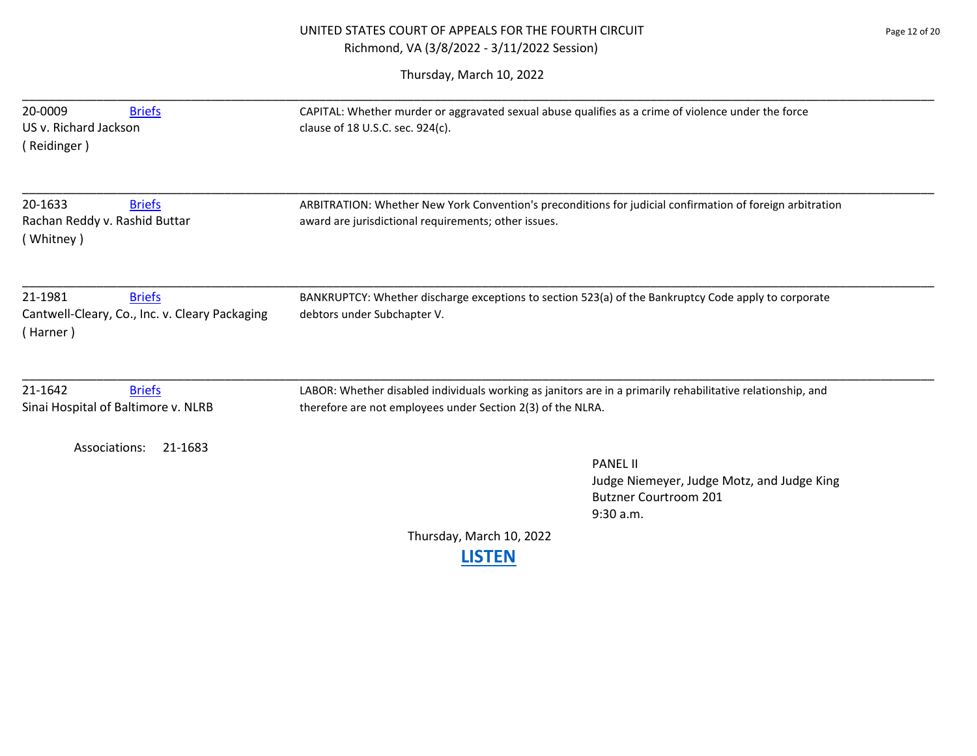| 20-0009<br><b>Briefs</b><br>US v. Richard Jackson<br>(Reidinger)                       | CAPITAL: Whether murder or aggravated sexual abuse qualifies as a crime of violence under the force<br>clause of 18 U.S.C. sec. 924(c).                                    |
|----------------------------------------------------------------------------------------|----------------------------------------------------------------------------------------------------------------------------------------------------------------------------|
| 20-1633<br><b>Briefs</b><br>Rachan Reddy v. Rashid Buttar<br>(Whitney)                 | ARBITRATION: Whether New York Convention's preconditions for judicial confirmation of foreign arbitration<br>award are jurisdictional requirements; other issues.          |
| 21-1981<br><b>Briefs</b><br>Cantwell-Cleary, Co., Inc. v. Cleary Packaging<br>(Harner) | BANKRUPTCY: Whether discharge exceptions to section 523(a) of the Bankruptcy Code apply to corporate<br>debtors under Subchapter V.                                        |
| 21-1642<br><b>Briefs</b><br>Sinai Hospital of Baltimore v. NLRB                        | LABOR: Whether disabled individuals working as janitors are in a primarily rehabilitative relationship, and<br>therefore are not employees under Section 2(3) of the NLRA. |
| Associations:<br>21-1683                                                               | <b>PANEL II</b><br>Judge Niemeyer, Judge Motz, and Judge King<br><b>Butzner Courtroom 201</b><br>$9:30$ a.m.<br>Thursday, March 10, 2022<br>ISTEN                          |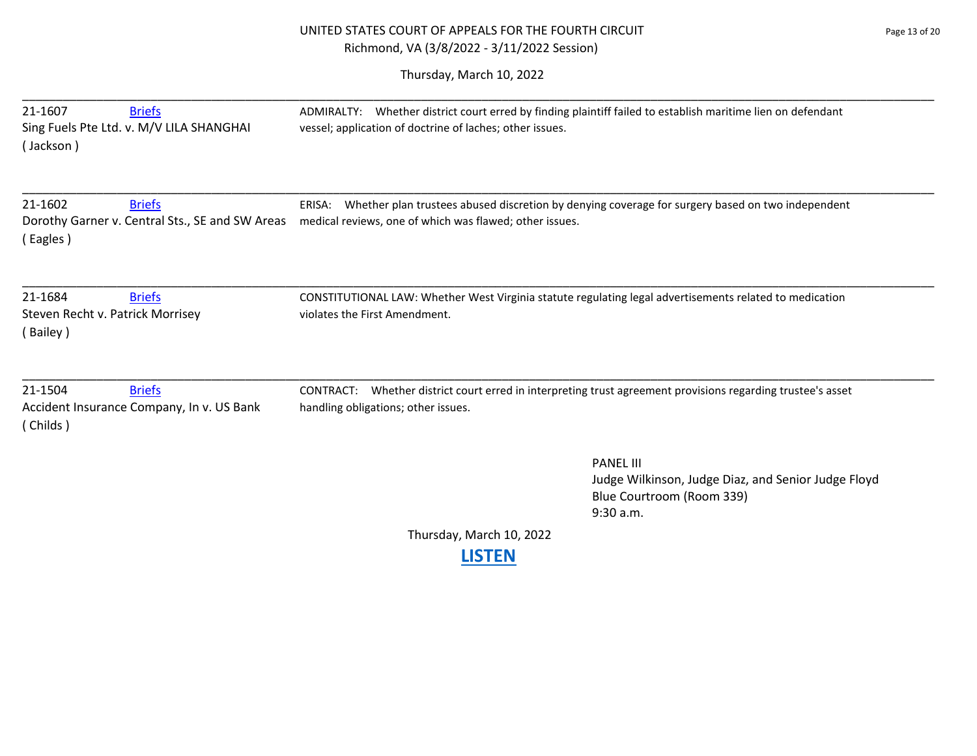# UNITED STATES COURT OF APPEALS FOR THE FOURTH CIRCUIT Page 13 of 20 Richmond, VA (3/8/2022 - 3/11/2022 Session)

| 21-1607<br><b>Briefs</b><br>Sing Fuels Pte Ltd. v. M/V LILA SHANGHAI<br>(Jackson)       | ADMIRALTY: Whether district court erred by finding plaintiff failed to establish maritime lien on defendant<br>vessel; application of doctrine of laches; other issues. |                                                                                                                   |
|-----------------------------------------------------------------------------------------|-------------------------------------------------------------------------------------------------------------------------------------------------------------------------|-------------------------------------------------------------------------------------------------------------------|
| 21-1602<br><b>Briefs</b><br>Dorothy Garner v. Central Sts., SE and SW Areas<br>(Eagles) | ERISA:<br>medical reviews, one of which was flawed; other issues.                                                                                                       | Whether plan trustees abused discretion by denying coverage for surgery based on two independent                  |
| 21-1684<br><b>Briefs</b><br>Steven Recht v. Patrick Morrisey<br>(Bailey)                | CONSTITUTIONAL LAW: Whether West Virginia statute regulating legal advertisements related to medication<br>violates the First Amendment.                                |                                                                                                                   |
| 21-1504<br><b>Briefs</b><br>Accident Insurance Company, In v. US Bank<br>(Childs)       | CONTRACT:<br>handling obligations; other issues.                                                                                                                        | Whether district court erred in interpreting trust agreement provisions regarding trustee's asset                 |
|                                                                                         |                                                                                                                                                                         | <b>PANEL III</b><br>Judge Wilkinson, Judge Diaz, and Senior Judge Floyd<br>Blue Courtroom (Room 339)<br>9:30 a.m. |
|                                                                                         | Thursday, March 10, 2022                                                                                                                                                |                                                                                                                   |
|                                                                                         | <b>LISTEN</b>                                                                                                                                                           |                                                                                                                   |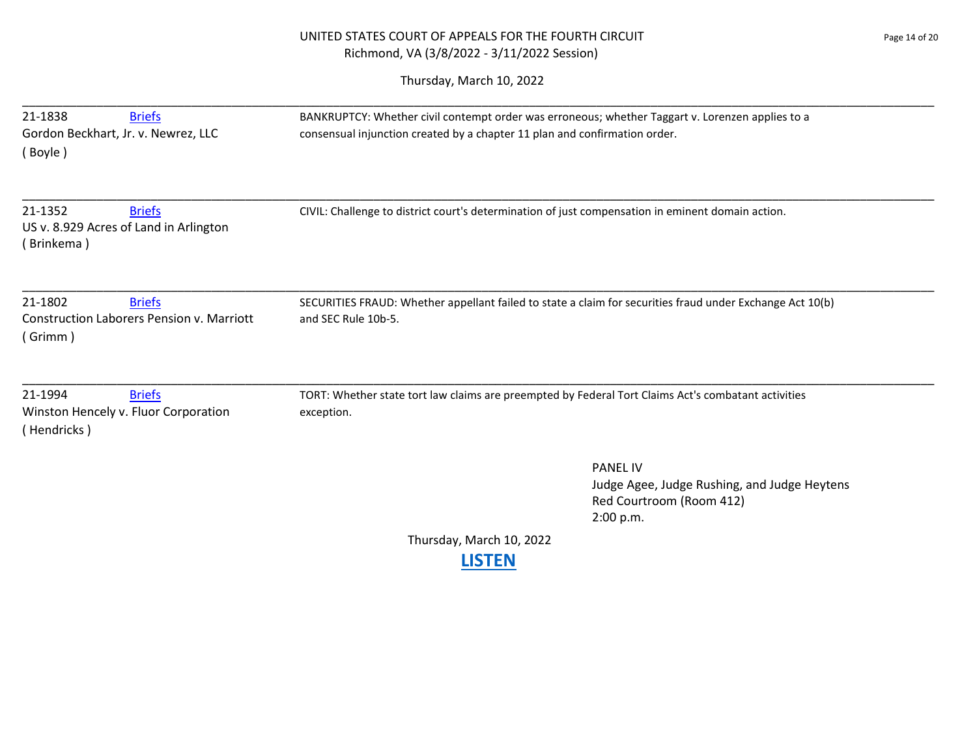# UNITED STATES COURT OF APPEALS FOR THE FOURTH CIRCUIT Page 14 of 20 Richmond, VA (3/8/2022 - 3/11/2022 Session)

| 21-1838                             | <b>Briefs</b>                                    | BANKRUPTCY: Whether civil contempt order was erroneous; whether Taggart v. Lorenzen applies to a          |                                              |
|-------------------------------------|--------------------------------------------------|-----------------------------------------------------------------------------------------------------------|----------------------------------------------|
| Gordon Beckhart, Jr. v. Newrez, LLC |                                                  | consensual injunction created by a chapter 11 plan and confirmation order.                                |                                              |
| (Boyle)                             |                                                  |                                                                                                           |                                              |
|                                     |                                                  |                                                                                                           |                                              |
| 21-1352                             | <b>Briefs</b>                                    | CIVIL: Challenge to district court's determination of just compensation in eminent domain action.         |                                              |
|                                     | US v. 8.929 Acres of Land in Arlington           |                                                                                                           |                                              |
| (Brinkema)                          |                                                  |                                                                                                           |                                              |
|                                     |                                                  |                                                                                                           |                                              |
| 21-1802                             | <b>Briefs</b>                                    | SECURITIES FRAUD: Whether appellant failed to state a claim for securities fraud under Exchange Act 10(b) |                                              |
|                                     | <b>Construction Laborers Pension v. Marriott</b> | and SEC Rule 10b-5.                                                                                       |                                              |
| (Grimm)                             |                                                  |                                                                                                           |                                              |
|                                     |                                                  |                                                                                                           |                                              |
| 21-1994                             | <b>Briefs</b>                                    | TORT: Whether state tort law claims are preempted by Federal Tort Claims Act's combatant activities       |                                              |
|                                     | Winston Hencely v. Fluor Corporation             | exception.                                                                                                |                                              |
| (Hendricks)                         |                                                  |                                                                                                           |                                              |
|                                     |                                                  |                                                                                                           | <b>PANEL IV</b>                              |
|                                     |                                                  |                                                                                                           | Judge Agee, Judge Rushing, and Judge Heytens |
|                                     |                                                  |                                                                                                           | Red Courtroom (Room 412)                     |
|                                     |                                                  |                                                                                                           | 2:00 p.m.                                    |
|                                     |                                                  | Thursday, March 10, 2022                                                                                  |                                              |
|                                     |                                                  | <b>LISTEN</b>                                                                                             |                                              |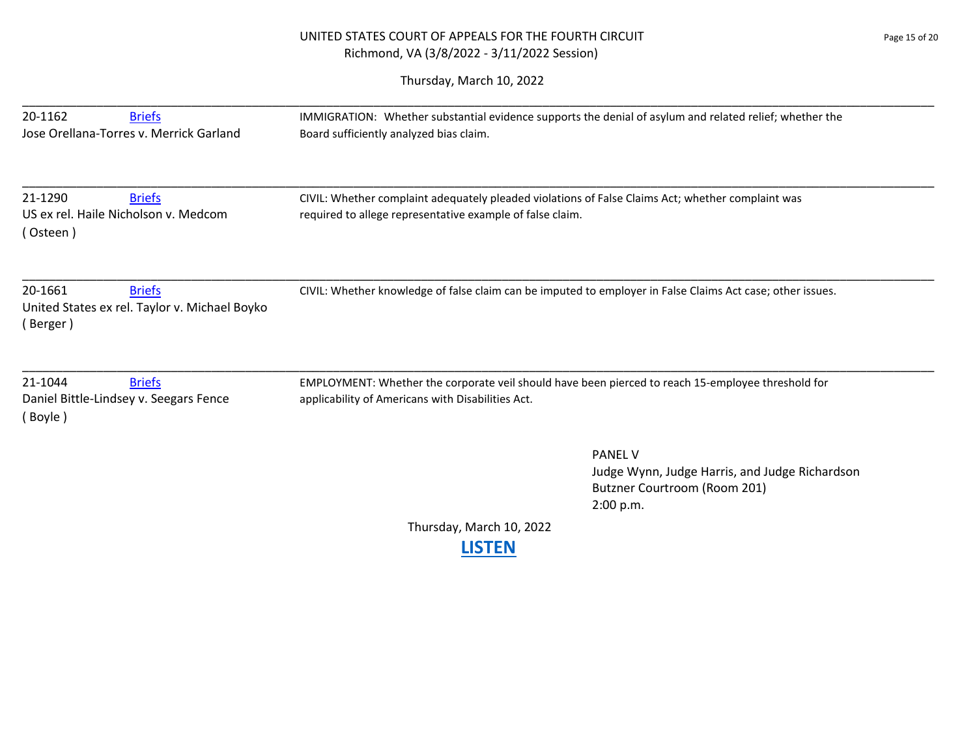# UNITED STATES COURT OF APPEALS FOR THE FOURTH CIRCUIT PAGE 15 OF 20 Richmond, VA (3/8/2022 - 3/11/2022 Session)

| 20-1162<br><b>Briefs</b><br>Jose Orellana-Torres v. Merrick Garland                   | IMMIGRATION: Whether substantial evidence supports the denial of asylum and related relief; whether the<br>Board sufficiently analyzed bias claim.             |  |
|---------------------------------------------------------------------------------------|----------------------------------------------------------------------------------------------------------------------------------------------------------------|--|
| 21-1290<br><b>Briefs</b><br>US ex rel. Haile Nicholson v. Medcom<br>(Osteen)          | CIVIL: Whether complaint adequately pleaded violations of False Claims Act; whether complaint was<br>required to allege representative example of false claim. |  |
| 20-1661<br><b>Briefs</b><br>United States ex rel. Taylor v. Michael Boyko<br>(Berger) | CIVIL: Whether knowledge of false claim can be imputed to employer in False Claims Act case; other issues.                                                     |  |
| 21-1044<br><b>Briefs</b><br>Daniel Bittle-Lindsey v. Seegars Fence<br>(Boyle)         | EMPLOYMENT: Whether the corporate veil should have been pierced to reach 15-employee threshold for<br>applicability of Americans with Disabilities Act.        |  |
|                                                                                       | <b>PANEL V</b><br>Judge Wynn, Judge Harris, and Judge Richardson<br>Butzner Courtroom (Room 201)<br>2:00 p.m.                                                  |  |
|                                                                                       | Thursday, March 10, 2022<br><b>.ISTEN</b>                                                                                                                      |  |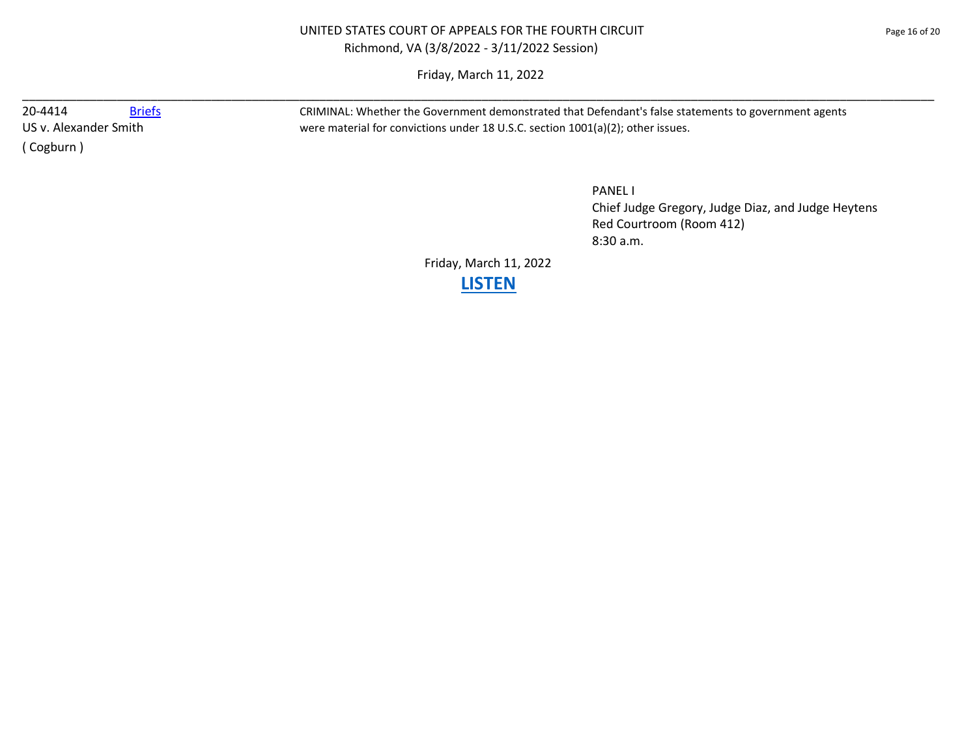Friday, March 11, 2022 \_\_\_\_\_\_\_\_\_\_\_\_\_\_\_\_\_\_\_\_\_\_\_\_\_\_\_\_\_\_\_\_\_\_\_\_\_\_\_\_\_\_\_\_\_\_\_\_\_\_\_\_\_\_\_\_\_\_\_\_\_\_\_\_\_\_\_\_\_\_\_\_\_\_\_\_\_\_\_\_\_\_\_\_\_\_\_\_\_\_\_\_\_\_\_\_\_\_\_\_\_\_\_\_\_\_\_\_\_\_\_\_\_\_\_\_\_\_\_\_\_\_\_\_\_\_\_\_\_\_\_\_\_\_\_

( Cogburn )

20-4414 [Briefs](https://www.ca4.uscourts.gov/DataBriefs.aspx?CASENUM=20-4414) Briefs CRIMINAL: Whether the Government demonstrated that Defendant's false statements to government agents US v. Alexander Smith were material for convictions under 18 U.S.C. section 1001(a)(2); other issues.

> PANEL I Chief Judge Gregory, Judge Diaz, and Judge Heytens Red Courtroom (Room 412) 8:30 a.m.

Friday, March 11, 2022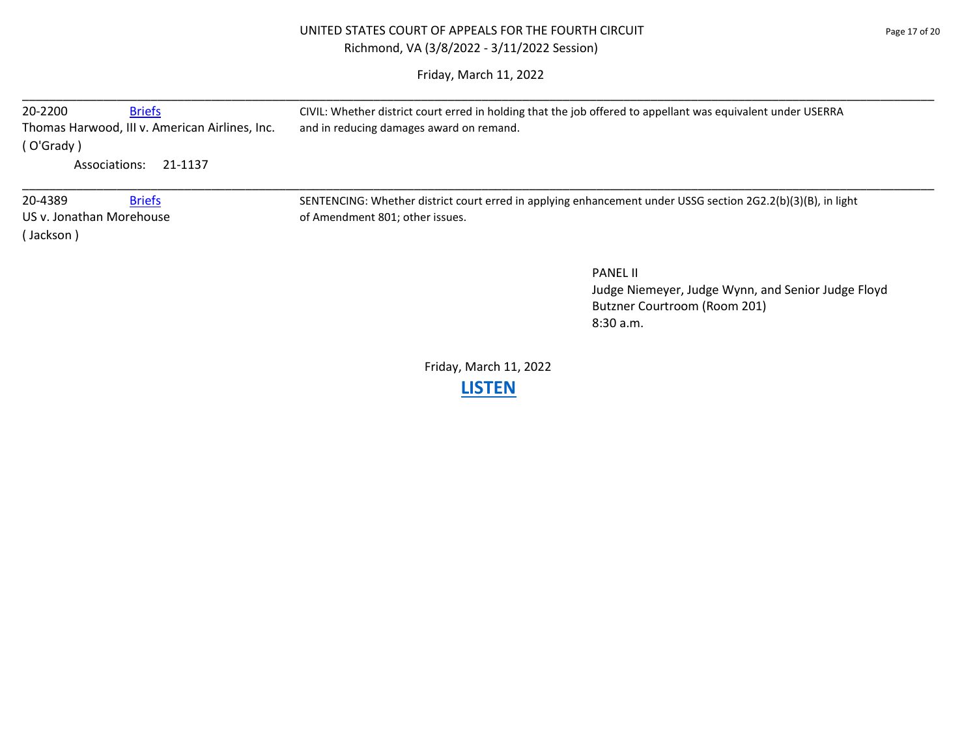# UNITED STATES COURT OF APPEALS FOR THE FOURTH CIRCUIT **FOUR SERVICE 20 FOUR 17 OF 20** Page 17 of 20 Richmond, VA (3/8/2022 - 3/11/2022 Session)

Friday, March 11, 2022

| 20-2200<br><b>Briefs</b>                       | CIVIL: Whether district court erred in holding that the job offered to appellant was equivalent under USERRA |  |
|------------------------------------------------|--------------------------------------------------------------------------------------------------------------|--|
| Thomas Harwood, III v. American Airlines, Inc. | and in reducing damages award on remand.                                                                     |  |
| (O'Grady)                                      |                                                                                                              |  |
| Associations:<br>21-1137                       |                                                                                                              |  |
| 20-4389<br><b>Briefs</b>                       | SENTENCING: Whether district court erred in applying enhancement under USSG section 2G2.2(b)(3)(B), in light |  |
| US v. Jonathan Morehouse                       | of Amendment 801; other issues.                                                                              |  |
| Jackson)                                       |                                                                                                              |  |
|                                                | <b>PANEL II</b>                                                                                              |  |
|                                                | Judge Niemeyer, Judge Wynn, and Senior Judge Floyd                                                           |  |
|                                                | Butzner Courtroom (Room 201)                                                                                 |  |
|                                                | 8:30a.m.                                                                                                     |  |

Friday, March 11, 2022 **[LISTEN](https://youtu.be/HL4cdVeTN6A)**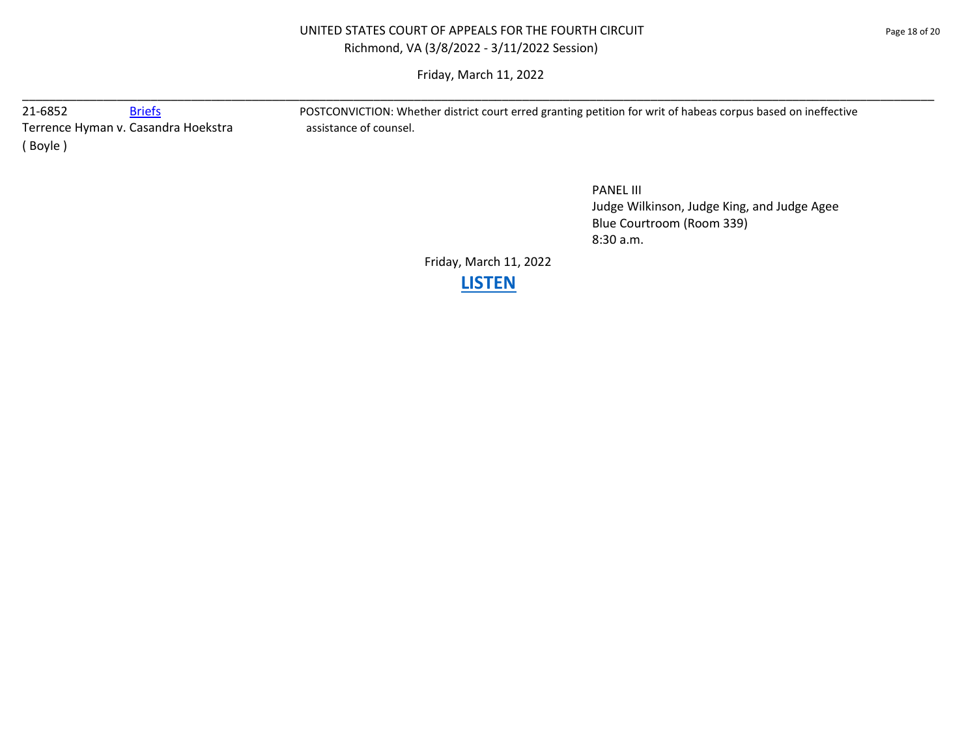## UNITED STATES COURT OF APPEALS FOR THE FOURTH CIRCUIT **Example 20 and State 18 of 20** page 18 of 20 Richmond, VA (3/8/2022 - 3/11/2022 Session)

Friday, March 11, 2022 \_\_\_\_\_\_\_\_\_\_\_\_\_\_\_\_\_\_\_\_\_\_\_\_\_\_\_\_\_\_\_\_\_\_\_\_\_\_\_\_\_\_\_\_\_\_\_\_\_\_\_\_\_\_\_\_\_\_\_\_\_\_\_\_\_\_\_\_\_\_\_\_\_\_\_\_\_\_\_\_\_\_\_\_\_\_\_\_\_\_\_\_\_\_\_\_\_\_\_\_\_\_\_\_\_\_\_\_\_\_\_\_\_\_\_\_\_\_\_\_\_\_\_\_\_\_\_\_\_\_\_\_\_\_\_

Terrence Hyman v. Casandra Hoekstra assistance of counsel. ( Boyle )

21-6852 [Briefs](https://www.ca4.uscourts.gov/DataBriefs.aspx?CASENUM=21-6852) Briefs POSTCONVICTION: Whether district court erred granting petition for writ of habeas corpus based on ineffective

PANEL III Judge Wilkinson, Judge King, and Judge Agee Blue Courtroom (Room 339) 8:30 a.m.

Friday, March 11, 2022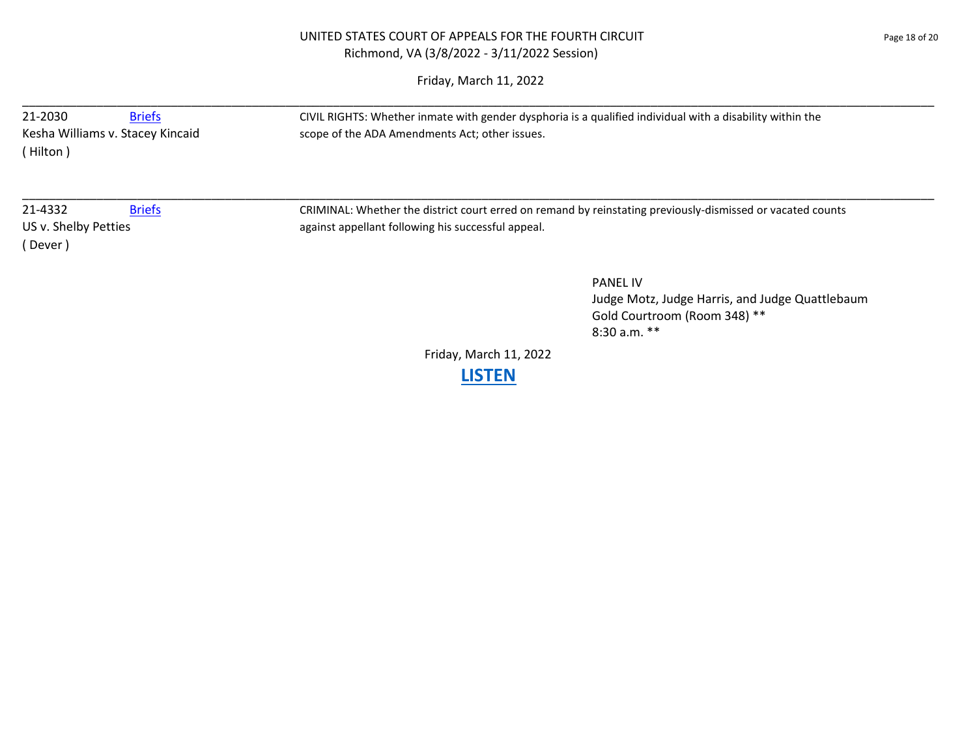Friday, March 11, 2022

| 21-2030<br>(Hilton)            | <b>Briefs</b><br>Kesha Williams v. Stacey Kincaid | CIVIL RIGHTS: Whether inmate with gender dysphoria is a qualified individual with a disability within the<br>scope of the ADA Amendments Act; other issues. |
|--------------------------------|---------------------------------------------------|-------------------------------------------------------------------------------------------------------------------------------------------------------------|
| 21-4332                        | <b>Briefs</b>                                     | CRIMINAL: Whether the district court erred on remand by reinstating previously-dismissed or vacated counts                                                  |
| US v. Shelby Petties<br>Dever) |                                                   | against appellant following his successful appeal.                                                                                                          |
|                                |                                                   | <b>PANEL IV</b><br>Judge Motz, Judge Harris, and Judge Quattlebaum                                                                                          |

Friday, March 11, 2022

Gold Courtroom (Room 348) \*\*

8:30 a.m. \*\*